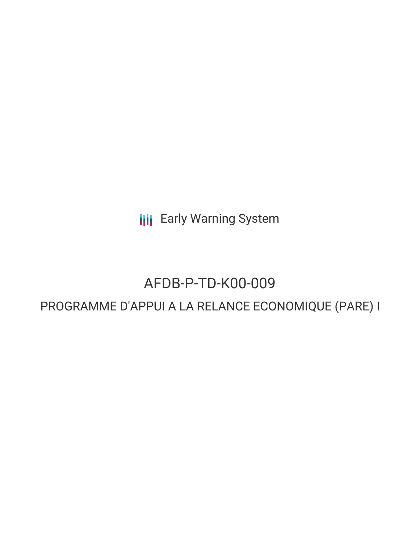**III** Early Warning System

# AFDB-P-TD-K00-009

# PROGRAMME D'APPUI A LA RELANCE ECONOMIQUE (PARE) I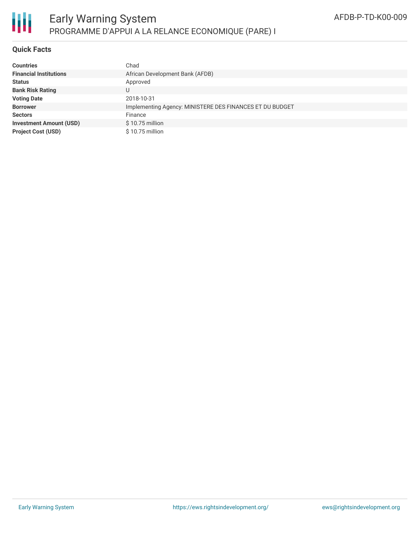

## **Quick Facts**

| <b>Countries</b>               | Chad                                                     |
|--------------------------------|----------------------------------------------------------|
| <b>Financial Institutions</b>  | African Development Bank (AFDB)                          |
| <b>Status</b>                  | Approved                                                 |
| <b>Bank Risk Rating</b>        |                                                          |
| <b>Voting Date</b>             | 2018-10-31                                               |
| <b>Borrower</b>                | Implementing Agency: MINISTERE DES FINANCES ET DU BUDGET |
| <b>Sectors</b>                 | Finance                                                  |
| <b>Investment Amount (USD)</b> | $$10.75$ million                                         |
| <b>Project Cost (USD)</b>      | $$10.75$ million                                         |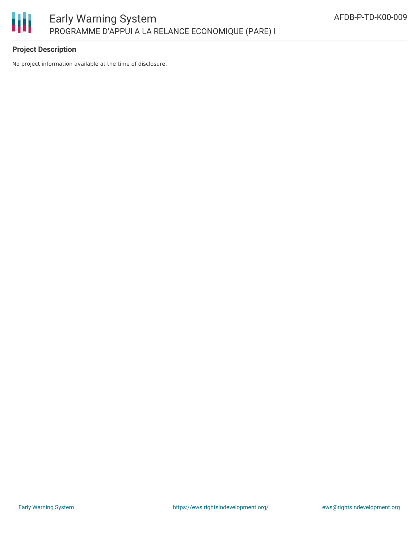

## **Project Description**

No project information available at the time of disclosure.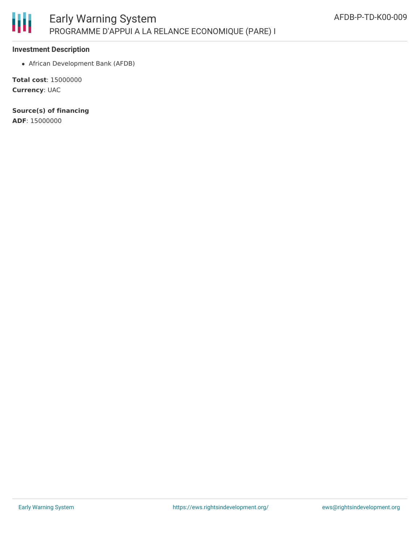

#### **Investment Description**

African Development Bank (AFDB)

**Total cost**: 15000000 **Currency**: UAC

**Source(s) of financing**

**ADF**: 15000000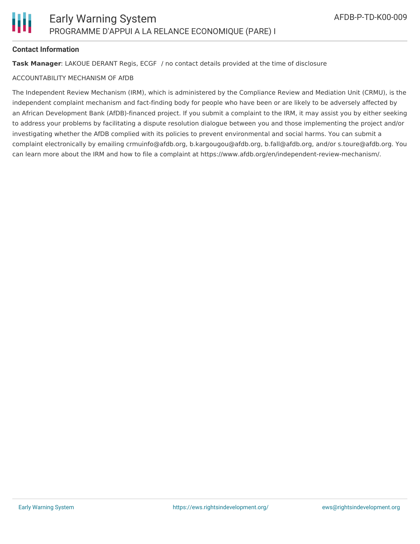

#### **Contact Information**

**Task Manager**: LAKOUE DERANT Regis, ECGF / no contact details provided at the time of disclosure

#### ACCOUNTABILITY MECHANISM OF AfDB

The Independent Review Mechanism (IRM), which is administered by the Compliance Review and Mediation Unit (CRMU), is the independent complaint mechanism and fact-finding body for people who have been or are likely to be adversely affected by an African Development Bank (AfDB)-financed project. If you submit a complaint to the IRM, it may assist you by either seeking to address your problems by facilitating a dispute resolution dialogue between you and those implementing the project and/or investigating whether the AfDB complied with its policies to prevent environmental and social harms. You can submit a complaint electronically by emailing crmuinfo@afdb.org, b.kargougou@afdb.org, b.fall@afdb.org, and/or s.toure@afdb.org. You can learn more about the IRM and how to file a complaint at https://www.afdb.org/en/independent-review-mechanism/.